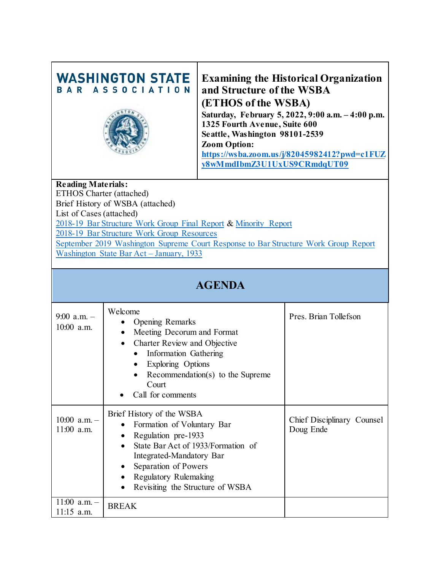# **WASHINGTON STATE** BAR ASSOCIATION



### **Examining the Historical Organization and Structure of the WSBA (ETHOS of the WSBA)**

**Saturday, February 5, 2022, 9:00 a.m. – 4:00 p.m. 1325 Fourth Avenue, Suite 600 Seattle, Washington 98101-2539 Zoom Option: [https://wsba.zoom.us/j/82045982412?pwd=c1FUZ](https://wsba.zoom.us/j/82045982412?pwd=c1FUZy8wMmdIbmZ3U1UxUS9CRmdqUT09) [y8wMmdIbmZ3U1UxUS9CRmdqUT09](https://wsba.zoom.us/j/82045982412?pwd=c1FUZy8wMmdIbmZ3U1UxUS9CRmdqUT09)**

#### **Reading Materials:**

ETHOS Charter (attached) Brief History of WSBA (attached) List of Cases (attached) [2018-19 Bar Structure Work](https://www.wsba.org/docs/default-source/legal-community/committees/bar-structure-work-group/20190904-final-report-and-recommendations-to-the-court-from-the-work-group-on-bar-structure.pdf?sfvrsn=c1710df1_2) Group Final Report & [Minority Report](https://www.wsba.org/docs/default-source/legal-community/committees/bar-structure-work-group/wsba-work-group---minority-report-final-2.pdf?sfvrsn=d0710df1_0) 2018-19 [Bar Structure Work Group Resources](https://www.wsba.org/connect-serve/committees-boards-other-groups/bar-structure-work-group/bar-structure-work-group-resources) [September 2019 Washington Supreme Court Response to Bar Structure Work Group Report](https://www.wsba.org/docs/default-source/legal-community/committees/bar-structure-work-group/9-25-19-executive-director-and-wsba-bog-re-court-decision-on-work-group-recommendations.pdf?sfvrsn=7f3e0df1_0) [Washington State Bar Act –](https://app.leg.wa.gov/rcw/default.aspx?cite=2.48&full=true) January, 1933

### **AGENDA**

| $9:00$ a.m. -<br>$10:00$ a.m.  | Welcome<br>Opening Remarks<br>Meeting Decorum and Format<br>$\bullet$<br>Charter Review and Objective<br>$\bullet$<br>Information Gathering<br>Exploring Options<br>Recommendation(s) to the Supreme<br>Court<br>Call for comments    | Pres. Brian Tollefson                   |
|--------------------------------|---------------------------------------------------------------------------------------------------------------------------------------------------------------------------------------------------------------------------------------|-----------------------------------------|
| $10:00$ a.m. -<br>$11:00$ a.m. | Brief History of the WSBA<br>Formation of Voluntary Bar<br>Regulation pre-1933<br>State Bar Act of 1933/Formation of<br>Integrated-Mandatory Bar<br>Separation of Powers<br>Regulatory Rulemaking<br>Revisiting the Structure of WSBA | Chief Disciplinary Counsel<br>Doug Ende |
| $11:00$ a.m. -<br>$11:15$ a.m. | <b>BREAK</b>                                                                                                                                                                                                                          |                                         |